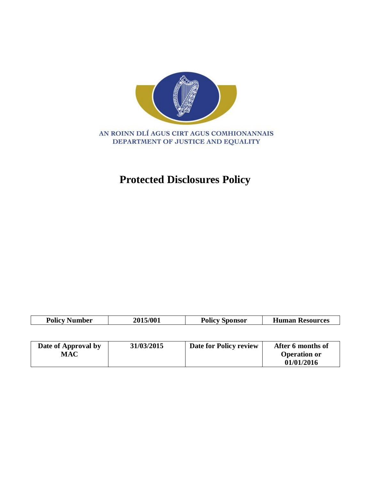

## **Protected Disclosures Policy**

| <b>Policy Number</b> | 2015/001 | <b>Policy Sponsor</b> | <b>Human Resources</b> |
|----------------------|----------|-----------------------|------------------------|
|                      |          |                       |                        |

| Date of Approval by | 31/03/2015 | Date for Policy review | After 6 months of   |
|---------------------|------------|------------------------|---------------------|
| MAC                 |            |                        | <b>Operation or</b> |
|                     |            |                        | 01/01/2016          |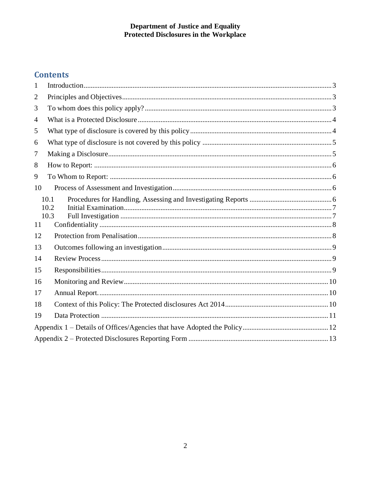### **Contents**

| 1              |                      |  |  |
|----------------|----------------------|--|--|
| $\overline{2}$ |                      |  |  |
| 3              |                      |  |  |
| 4              |                      |  |  |
| 5              |                      |  |  |
| 6              |                      |  |  |
| 7              |                      |  |  |
| 8              |                      |  |  |
| 9              |                      |  |  |
| 10             |                      |  |  |
|                | 10.1<br>10.2<br>10.3 |  |  |
| 11             |                      |  |  |
| 12             |                      |  |  |
| 13             |                      |  |  |
| 14             |                      |  |  |
| 15             |                      |  |  |
| 16             |                      |  |  |
| 17             |                      |  |  |
| 18             |                      |  |  |
| 19             |                      |  |  |
|                |                      |  |  |
|                |                      |  |  |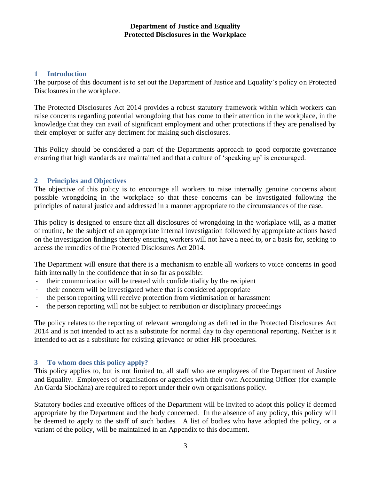#### <span id="page-2-0"></span>**1 Introduction**

The purpose of this document is to set out the Department of Justice and Equality's policy on Protected Disclosures in the workplace.

The Protected Disclosures Act 2014 provides a robust statutory framework within which workers can raise concerns regarding potential wrongdoing that has come to their attention in the workplace, in the knowledge that they can avail of significant employment and other protections if they are penalised by their employer or suffer any detriment for making such disclosures.

This Policy should be considered a part of the Departments approach to good corporate governance ensuring that high standards are maintained and that a culture of 'speaking up' is encouraged.

#### <span id="page-2-1"></span>**2 Principles and Objectives**

The objective of this policy is to encourage all workers to raise internally genuine concerns about possible wrongdoing in the workplace so that these concerns can be investigated following the principles of natural justice and addressed in a manner appropriate to the circumstances of the case.

This policy is designed to ensure that all disclosures of wrongdoing in the workplace will, as a matter of routine, be the subject of an appropriate internal investigation followed by appropriate actions based on the investigation findings thereby ensuring workers will not have a need to, or a basis for, seeking to access the remedies of the Protected Disclosures Act 2014.

The Department will ensure that there is a mechanism to enable all workers to voice concerns in good faith internally in the confidence that in so far as possible:

- their communication will be treated with confidentiality by the recipient
- their concern will be investigated where that is considered appropriate
- the person reporting will receive protection from victimisation or harassment
- the person reporting will not be subject to retribution or disciplinary proceedings

The policy relates to the reporting of relevant wrongdoing as defined in the Protected Disclosures Act 2014 and is not intended to act as a substitute for normal day to day operational reporting. Neither is it intended to act as a substitute for existing grievance or other HR procedures.

#### <span id="page-2-2"></span>**3 To whom does this policy apply?**

This policy applies to, but is not limited to, all staff who are employees of the Department of Justice and Equality. Employees of organisations or agencies with their own Accounting Officer (for example An Garda Síochána) are required to report under their own organisations policy.

Statutory bodies and executive offices of the Department will be invited to adopt this policy if deemed appropriate by the Department and the body concerned. In the absence of any policy, this policy will be deemed to apply to the staff of such bodies. A list of bodies who have adopted the policy, or a variant of the policy, will be maintained in an Appendix to this document.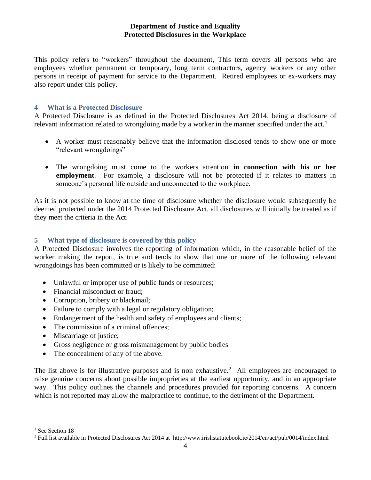This policy refers to "workers" throughout the document, This term covers all persons who are employees whether permanent or temporary, long term contractors, agency workers or any other persons in receipt of payment for service to the Department. Retired employees or ex-workers may also report under this policy.

#### <span id="page-3-0"></span>**4 What is a Protected Disclosure**

A Protected Disclosure is as defined in the Protected Disclosures Act 2014, being a disclosure of relevant information related to wrongdoing made by a worker in the manner specified under the act.<sup>1</sup>

- A worker must reasonably believe that the information disclosed tends to show one or more "relevant wrongdoings"
- The wrongdoing must come to the workers attention **in connection with his or her employment**. For example, a disclosure will not be protected if it relates to matters in someone's personal life outside and unconnected to the workplace.

As it is not possible to know at the time of disclosure whether the disclosure would subsequently be deemed protected under the 2014 Protected Disclosure Act, all disclosures will initially be treated as if they meet the criteria in the Act.

#### <span id="page-3-1"></span>**5 What type of disclosure is covered by this policy**

A Protected Disclosure involves the reporting of information which, in the reasonable belief of the worker making the report, is true and tends to show that one or more of the following relevant wrongdoings has been committed or is likely to be committed:

- Unlawful or improper use of public funds or resources;
- Financial misconduct or fraud:
- Corruption, bribery or blackmail;
- Failure to comply with a legal or regulatory obligation;
- Endangerment of the health and safety of employees and clients;
- The commission of a criminal offences;
- Miscarriage of justice;
- Gross negligence or gross mismanagement by public bodies
- The concealment of any of the above.

The list above is for illustrative purposes and is non exhaustive.<sup>2</sup> All employees are encouraged to raise genuine concerns about possible improprieties at the earliest opportunity, and in an appropriate way. This policy outlines the channels and procedures provided for reporting concerns. A concern which is not reported may allow the malpractice to continue, to the detriment of the Department.

 $\overline{a}$ 

<sup>&</sup>lt;sup>1</sup> See Section [18](#page-9-2)

<sup>&</sup>lt;sup>2</sup> Full list available in Protected Disclosures Act 2014 at http://www.irishstatutebook.ie/2014/en/act/pub/0014/index.html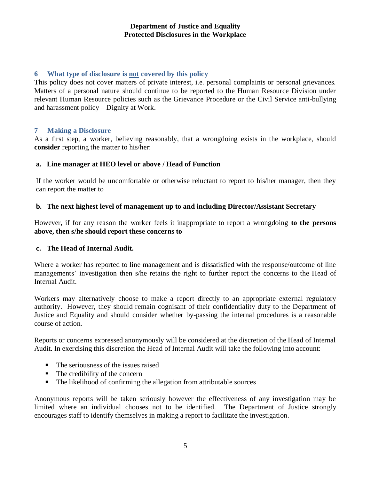#### <span id="page-4-0"></span>**6 What type of disclosure is not covered by this policy**

This policy does not cover matters of private interest, i.e. personal complaints or personal grievances. Matters of a personal nature should continue to be reported to the Human Resource Division under relevant Human Resource policies such as the Grievance Procedure or the Civil Service anti-bullying and harassment policy – Dignity at Work.

#### <span id="page-4-1"></span>**7 Making a Disclosure**

As a first step, a worker, believing reasonably, that a wrongdoing exists in the workplace, should **consider** reporting the matter to his/her:

#### **a. Line manager at HEO level or above / Head of Function**

If the worker would be uncomfortable or otherwise reluctant to report to his/her manager, then they can report the matter to

#### **b. The next highest level of management up to and including Director/Assistant Secretary**

However, if for any reason the worker feels it inappropriate to report a wrongdoing **to the persons above, then s/he should report these concerns to** 

#### **c. The Head of Internal Audit.**

Where a worker has reported to line management and is dissatisfied with the response/outcome of line managements' investigation then s/he retains the right to further report the concerns to the Head of Internal Audit.

Workers may alternatively choose to make a report directly to an appropriate external regulatory authority. However, they should remain cognisant of their confidentiality duty to the Department of Justice and Equality and should consider whether by-passing the internal procedures is a reasonable course of action.

Reports or concerns expressed anonymously will be considered at the discretion of the Head of Internal Audit. In exercising this discretion the Head of Internal Audit will take the following into account:

- The seriousness of the issues raised
- $\blacksquare$  The credibility of the concern
- The likelihood of confirming the allegation from attributable sources

Anonymous reports will be taken seriously however the effectiveness of any investigation may be limited where an individual chooses not to be identified. The Department of Justice strongly encourages staff to identify themselves in making a report to facilitate the investigation.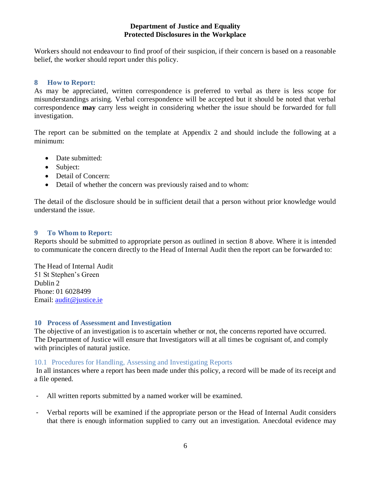Workers should not endeavour to find proof of their suspicion, if their concern is based on a reasonable belief, the worker should report under this policy.

#### <span id="page-5-0"></span>**8 How to Report:**

As may be appreciated, written correspondence is preferred to verbal as there is less scope for misunderstandings arising. Verbal correspondence will be accepted but it should be noted that verbal correspondence **may** carry less weight in considering whether the issue should be forwarded for full investigation.

The report can be submitted on the template at Appendix 2 and should include the following at a minimum:

- Date submitted:
- Subject:
- Detail of Concern:
- Detail of whether the concern was previously raised and to whom:

The detail of the disclosure should be in sufficient detail that a person without prior knowledge would understand the issue.

#### <span id="page-5-1"></span>**9 To Whom to Report:**

Reports should be submitted to appropriate person as outlined in section 8 above. Where it is intended to communicate the concern directly to the Head of Internal Audit then the report can be forwarded to:

The Head of Internal Audit 51 St Stephen's Green Dublin 2 Phone: 01 6028499 Email: [audit@justice.ie](mailto:audit@justice.ie)

#### <span id="page-5-2"></span>**10 Process of Assessment and Investigation**

The objective of an investigation is to ascertain whether or not, the concerns reported have occurred. The Department of Justice will ensure that Investigators will at all times be cognisant of, and comply with principles of natural justice.

#### <span id="page-5-3"></span>10.1 Procedures for Handling, Assessing and Investigating Reports

In all instances where a report has been made under this policy, a record will be made of its receipt and a file opened.

- All written reports submitted by a named worker will be examined.
- Verbal reports will be examined if the appropriate person or the Head of Internal Audit considers that there is enough information supplied to carry out an investigation. Anecdotal evidence may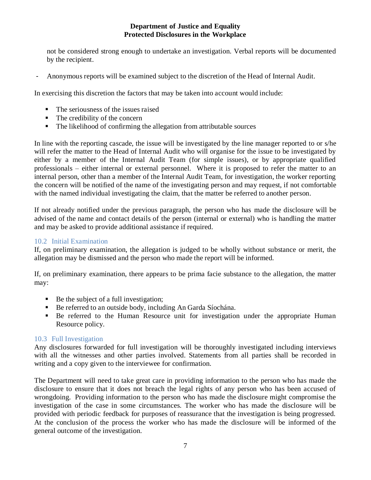not be considered strong enough to undertake an investigation. Verbal reports will be documented by the recipient.

- Anonymous reports will be examined subject to the discretion of the Head of Internal Audit.

In exercising this discretion the factors that may be taken into account would include:

- $\blacksquare$  The seriousness of the issues raised
- $\blacksquare$  The credibility of the concern
- The likelihood of confirming the allegation from attributable sources

In line with the reporting cascade, the issue will be investigated by the line manager reported to or s/he will refer the matter to the Head of Internal Audit who will organise for the issue to be investigated by either by a member of the Internal Audit Team (for simple issues), or by appropriate qualified professionals – either internal or external personnel. Where it is proposed to refer the matter to an internal person, other than a member of the Internal Audit Team, for investigation, the worker reporting the concern will be notified of the name of the investigating person and may request, if not comfortable with the named individual investigating the claim, that the matter be referred to another person.

If not already notified under the previous paragraph, the person who has made the disclosure will be advised of the name and contact details of the person (internal or external) who is handling the matter and may be asked to provide additional assistance if required.

#### <span id="page-6-0"></span>10.2 Initial Examination

If, on preliminary examination, the allegation is judged to be wholly without substance or merit, the allegation may be dismissed and the person who made the report will be informed.

If, on preliminary examination, there appears to be prima facie substance to the allegation, the matter may:

- Be the subject of a full investigation;
- Be referred to an outside body, including An Garda Síochána.
- Be referred to the Human Resource unit for investigation under the appropriate Human Resource policy.

#### <span id="page-6-1"></span>10.3 Full Investigation

Any disclosures forwarded for full investigation will be thoroughly investigated including interviews with all the witnesses and other parties involved. Statements from all parties shall be recorded in writing and a copy given to the interviewee for confirmation.

The Department will need to take great care in providing information to the person who has made the disclosure to ensure that it does not breach the legal rights of any person who has been accused of wrongdoing. Providing information to the person who has made the disclosure might compromise the investigation of the case in some circumstances. The worker who has made the disclosure will be provided with periodic feedback for purposes of reassurance that the investigation is being progressed. At the conclusion of the process the worker who has made the disclosure will be informed of the general outcome of the investigation.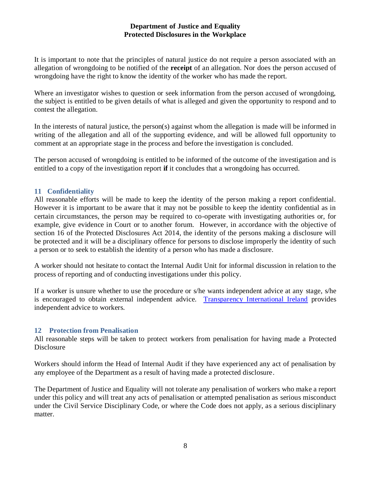It is important to note that the principles of natural justice do not require a person associated with an allegation of wrongdoing to be notified of the **receipt** of an allegation. Nor does the person accused of wrongdoing have the right to know the identity of the worker who has made the report.

Where an investigator wishes to question or seek information from the person accused of wrongdoing, the subject is entitled to be given details of what is alleged and given the opportunity to respond and to contest the allegation.

In the interests of natural justice, the person(s) against whom the allegation is made will be informed in writing of the allegation and all of the supporting evidence, and will be allowed full opportunity to comment at an appropriate stage in the process and before the investigation is concluded.

The person accused of wrongdoing is entitled to be informed of the outcome of the investigation and is entitled to a copy of the investigation report **if** it concludes that a wrongdoing has occurred.

#### <span id="page-7-0"></span>**11 Confidentiality**

All reasonable efforts will be made to keep the identity of the person making a report confidential. However it is important to be aware that it may not be possible to keep the identity confidential as in certain circumstances, the person may be required to co-operate with investigating authorities or, for example, give evidence in Court or to another forum. However, in accordance with the objective of section 16 of the Protected Disclosures Act 2014, the identity of the persons making a disclosure will be protected and it will be a disciplinary offence for persons to disclose improperly the identity of such a person or to seek to establish the identity of a person who has made a disclosure.

A worker should not hesitate to contact the Internal Audit Unit for informal discussion in relation to the process of reporting and of conducting investigations under this policy.

If a worker is unsure whether to use the procedure or s/he wants independent advice at any stage, s/he is encouraged to obtain external independent advice. [Transparency International Ireland](http://transparency.ie/helpline) provides independent advice to workers.

#### <span id="page-7-1"></span>**12 Protection from Penalisation**

All reasonable steps will be taken to protect workers from penalisation for having made a Protected **Disclosure** 

Workers should inform the Head of Internal Audit if they have experienced any act of penalisation by any employee of the Department as a result of having made a protected disclosure.

The Department of Justice and Equality will not tolerate any penalisation of workers who make a report under this policy and will treat any acts of penalisation or attempted penalisation as serious misconduct under the Civil Service Disciplinary Code, or where the Code does not apply, as a serious disciplinary matter.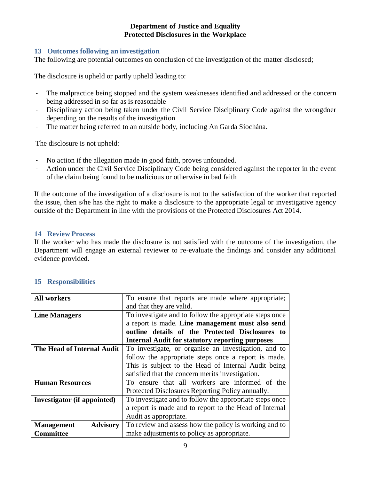#### <span id="page-8-0"></span>**13 Outcomes following an investigation**

The following are potential outcomes on conclusion of the investigation of the matter disclosed;

The disclosure is upheld or partly upheld leading to:

- The malpractice being stopped and the system weaknesses identified and addressed or the concern being addressed in so far as is reasonable
- Disciplinary action being taken under the Civil Service Disciplinary Code against the wrongdoer depending on the results of the investigation
- The matter being referred to an outside body, including An Garda Síochána.

The disclosure is not upheld:

- No action if the allegation made in good faith, proves unfounded.
- Action under the Civil Service Disciplinary Code being considered against the reporter in the event of the claim being found to be malicious or otherwise in bad faith

If the outcome of the investigation of a disclosure is not to the satisfaction of the worker that reported the issue, then s/he has the right to make a disclosure to the appropriate legal or investigative agency outside of the Department in line with the provisions of the Protected Disclosures Act 2014.

#### <span id="page-8-1"></span>**14 Review Process**

If the worker who has made the disclosure is not satisfied with the outcome of the investigation, the Department will engage an external reviewer to re-evaluate the findings and consider any additional evidence provided.

| <b>All workers</b>                   | To ensure that reports are made where appropriate;      |
|--------------------------------------|---------------------------------------------------------|
|                                      | and that they are valid.                                |
| <b>Line Managers</b>                 | To investigate and to follow the appropriate steps once |
|                                      | a report is made. Line management must also send        |
|                                      | outline details of the Protected Disclosures to         |
|                                      | <b>Internal Audit for statutory reporting purposes</b>  |
| The Head of Internal Audit           | To investigate, or organise an investigation, and to    |
|                                      | follow the appropriate steps once a report is made.     |
|                                      | This is subject to the Head of Internal Audit being     |
|                                      | satisfied that the concern merits investigation.        |
| <b>Human Resources</b>               | To ensure that all workers are informed of the          |
|                                      | Protected Disclosures Reporting Policy annually.        |
| Investigator (if appointed)          | To investigate and to follow the appropriate steps once |
|                                      | a report is made and to report to the Head of Internal  |
|                                      | Audit as appropriate.                                   |
| <b>Management</b><br><b>Advisory</b> | To review and assess how the policy is working and to   |
| <b>Committee</b>                     | make adjustments to policy as appropriate.              |

#### <span id="page-8-2"></span>**15 Responsibilities**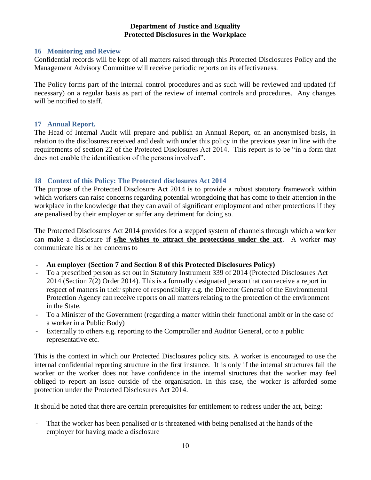#### <span id="page-9-0"></span>**16 Monitoring and Review**

Confidential records will be kept of all matters raised through this Protected Disclosures Policy and the Management Advisory Committee will receive periodic reports on its effectiveness.

The Policy forms part of the internal control procedures and as such will be reviewed and updated (if necessary) on a regular basis as part of the review of internal controls and procedures. Any changes will be notified to staff.

#### <span id="page-9-1"></span>**17 Annual Report.**

The Head of Internal Audit will prepare and publish an Annual Report, on an anonymised basis, in relation to the disclosures received and dealt with under this policy in the previous year in line with the requirements of section 22 of the Protected Disclosures Act 2014. This report is to be "in a form that does not enable the identification of the persons involved".

#### <span id="page-9-2"></span>**18 Context of this Policy: The Protected disclosures Act 2014**

The purpose of the Protected Disclosure Act 2014 is to provide a robust statutory framework within which workers can raise concerns regarding potential wrongdoing that has come to their attention in the workplace in the knowledge that they can avail of significant employment and other protections if they are penalised by their employer or suffer any detriment for doing so.

The Protected Disclosures Act 2014 provides for a stepped system of channels through which a worker can make a disclosure if **s/he wishes to attract the protections under the act**. A worker may communicate his or her concerns to

- **An employer (Section [7](#page-4-1) and Section [8](#page-5-0) of this Protected Disclosures Policy)**
- To a prescribed person as set out in Statutory Instrument 339 of 2014 (Protected Disclosures Act 2014 (Section 7(2) Order 2014). This is a formally designated person that can receive a report in respect of matters in their sphere of responsibility e.g. the Director General of the Environmental Protection Agency can receive reports on all matters relating to the protection of the environment in the State.
- To a Minister of the Government (regarding a matter within their functional ambit or in the case of a worker in a Public Body)
- Externally to others e.g. reporting to the Comptroller and Auditor General, or to a public representative etc.

This is the context in which our Protected Disclosures policy sits. A worker is encouraged to use the internal confidential reporting structure in the first instance. It is only if the internal structures fail the worker or the worker does not have confidence in the internal structures that the worker may feel obliged to report an issue outside of the organisation. In this case, the worker is afforded some protection under the Protected Disclosures Act 2014.

It should be noted that there are certain prerequisites for entitlement to redress under the act, being:

- That the worker has been penalised or is threatened with being penalised at the hands of the employer for having made a disclosure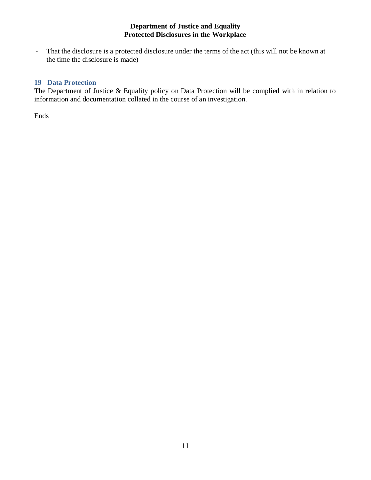- That the disclosure is a protected disclosure under the terms of the act (this will not be known at the time the disclosure is made)

#### <span id="page-10-0"></span>**19 Data Protection**

The Department of Justice & Equality policy on Data Protection will be complied with in relation to information and documentation collated in the course of an investigation.

Ends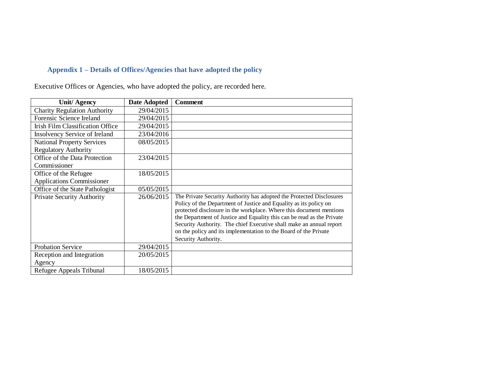#### **Appendix 1 – Details of Offices/Agencies that have adopted the policy**

Executive Offices or Agencies, who have adopted the policy, are recorded here.

<span id="page-11-0"></span>

| <b>Unit/Agency</b>                      | <b>Date Adopted</b> | <b>Comment</b>                                                                                                                                                                                                                                                                                                                                                                                                                                               |
|-----------------------------------------|---------------------|--------------------------------------------------------------------------------------------------------------------------------------------------------------------------------------------------------------------------------------------------------------------------------------------------------------------------------------------------------------------------------------------------------------------------------------------------------------|
| <b>Charity Regulation Authority</b>     | 29/04/2015          |                                                                                                                                                                                                                                                                                                                                                                                                                                                              |
| Forensic Science Ireland                | 29/04/2015          |                                                                                                                                                                                                                                                                                                                                                                                                                                                              |
| <b>Irish Film Classification Office</b> | 29/04/2015          |                                                                                                                                                                                                                                                                                                                                                                                                                                                              |
| Insolvency Service of Ireland           | 23/04/2016          |                                                                                                                                                                                                                                                                                                                                                                                                                                                              |
| <b>National Property Services</b>       | 08/05/2015          |                                                                                                                                                                                                                                                                                                                                                                                                                                                              |
| <b>Regulatory Authority</b>             |                     |                                                                                                                                                                                                                                                                                                                                                                                                                                                              |
| Office of the Data Protection           | 23/04/2015          |                                                                                                                                                                                                                                                                                                                                                                                                                                                              |
| Commissioner                            |                     |                                                                                                                                                                                                                                                                                                                                                                                                                                                              |
| Office of the Refugee                   | 18/05/2015          |                                                                                                                                                                                                                                                                                                                                                                                                                                                              |
| <b>Applications Commissioner</b>        |                     |                                                                                                                                                                                                                                                                                                                                                                                                                                                              |
| Office of the State Pathologist         | 05/05/2015          |                                                                                                                                                                                                                                                                                                                                                                                                                                                              |
| <b>Private Security Authority</b>       | 26/06/2015          | The Private Security Authority has adopted the Protected Disclosures<br>Policy of the Department of Justice and Equality as its policy on<br>protected disclosure in the workplace. Where this document mentions<br>the Department of Justice and Equality this can be read as the Private<br>Security Authority. The chief Executive shall make an annual report<br>on the policy and its implementation to the Board of the Private<br>Security Authority. |
| <b>Probation Service</b>                | 29/04/2015          |                                                                                                                                                                                                                                                                                                                                                                                                                                                              |
| Reception and Integration<br>Agency     | 20/05/2015          |                                                                                                                                                                                                                                                                                                                                                                                                                                                              |
| Refugee Appeals Tribunal                | 18/05/2015          |                                                                                                                                                                                                                                                                                                                                                                                                                                                              |